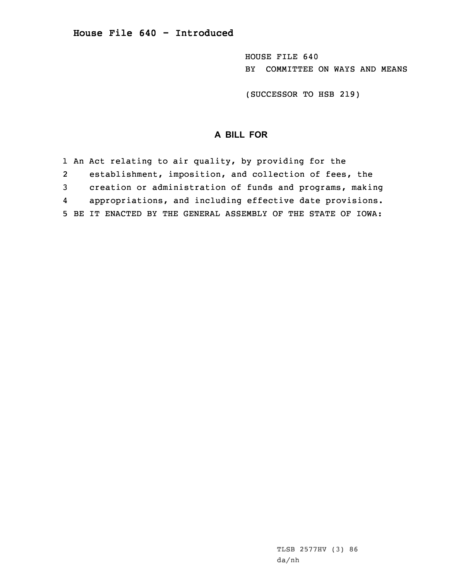HOUSE FILE 640 BY COMMITTEE ON WAYS AND MEANS

(SUCCESSOR TO HSB 219)

## **A BILL FOR**

1 An Act relating to air quality, by providing for the 2 establishment, imposition, and collection of fees, the 3 creation or administration of funds and programs, making 4 appropriations, and including effective date provisions. 5 BE IT ENACTED BY THE GENERAL ASSEMBLY OF THE STATE OF IOWA: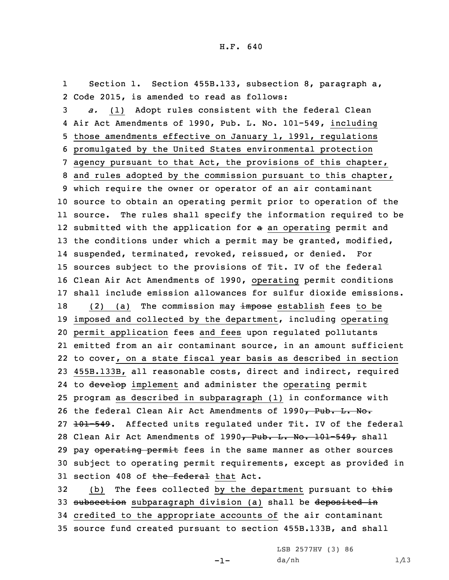1 Section 1. Section 455B.133, subsection 8, paragraph a, 2 Code 2015, is amended to read as follows:

 *a.* (1) Adopt rules consistent with the federal Clean Air Act Amendments of 1990, Pub. L. No. 101-549, including those amendments effective on January 1, 1991, regulations promulgated by the United States environmental protection agency pursuant to that Act, the provisions of this chapter, and rules adopted by the commission pursuant to this chapter, which require the owner or operator of an air contaminant source to obtain an operating permit prior to operation of the source. The rules shall specify the information required to be 12 submitted with the application for a an operating permit and 13 the conditions under which a permit may be granted, modified, suspended, terminated, revoked, reissued, or denied. For sources subject to the provisions of Tit. IV of the federal Clean Air Act Amendments of 1990, operating permit conditions shall include emission allowances for sulfur dioxide emissions. 18 (2) (a) The commission may impose establish fees to be imposed and collected by the department, including operating permit application fees and fees upon regulated pollutants emitted from an air contaminant source, in an amount sufficient to cover, on <sup>a</sup> state fiscal year basis as described in section 455B.133B, all reasonable costs, direct and indirect, required 24 to develop implement and administer the operating permit program as described in subparagraph (1) in conformance with 26 the federal Clean Air Act Amendments of 1990, Pub. L. No. 27 101-549. Affected units requlated under Tit. IV of the federal 28 Clean Air Act Amendments of 1990, Pub. L. No. 101-549, shall 29 pay operating permit fees in the same manner as other sources subject to operating permit requirements, except as provided in 31 section 408 of the federal that Act.

32 (b) The fees collected by the department pursuant to this 33 subsection subparagraph division (a) shall be deposited in 34 credited to the appropriate accounts of the air contaminant 35 source fund created pursuant to section 455B.133B, and shall

-1-

LSB 2577HV (3) 86  $da/nh$   $1/13$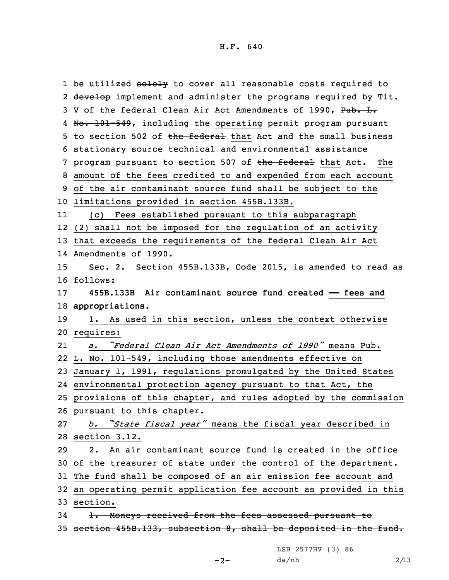1 be utilized <del>solely</del> to cover all reasonable costs required to 2 <del>develop</del> implement and administer the programs required by Tit. 3 V of the federal Clean Air Act Amendments of 1990, Pub. L. 4 No. 101-549, including the operating permit program pursuant 5 to section 502 of the federal that Act and the small business stationary source technical and environmental assistance 7 program pursuant to section 507 of the federal that Act. The amount of the fees credited to and expended from each account of the air contaminant source fund shall be subject to the limitations provided in section 455B.133B. 11 (c) Fees established pursuant to this subparagraph (2) shall not be imposed for the regulation of an activity that exceeds the requirements of the federal Clean Air Act Amendments of 1990. Sec. 2. Section 455B.133B, Code 2015, is amended to read as 16 follows: **455B.133B Air contaminant source fund created —— fees and appropriations.** 1. As used in this section, unless the context otherwise requires: 21 *a. "Federal Clean Air Act Amendments of 1990"* means Pub. L. No. 101-549, including those amendments effective on January 1, 1991, regulations promulgated by the United States environmental protection agency pursuant to that Act, the provisions of this chapter, and rules adopted by the commission pursuant to this chapter. *b. "State fiscal year"* means the fiscal year described in section 3.12. 2. An air contaminant source fund is created in the office of the treasurer of state under the control of the department. The fund shall be composed of an air emission fee account and an operating permit application fee account as provided in this 33 section. 34 1. Moneys received from the fees assessed pursuant to section 455B.133, subsection 8, shall be deposited in the fund.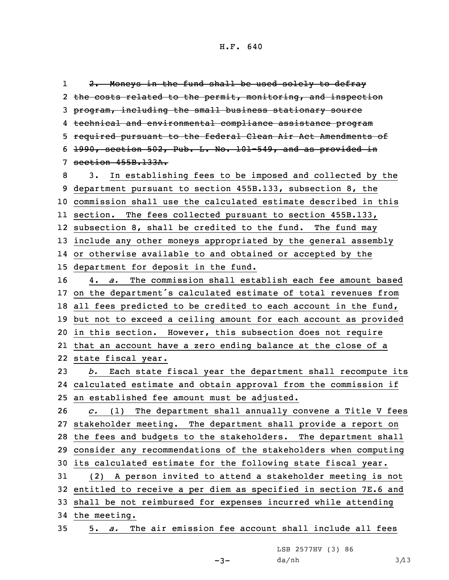1 2. Moneys in the fund shall be used solely to defray 2 the costs related to the permit, monitoring, and inspection program, including the small business stationary source technical and environmental compliance assistance program required pursuant to the federal Clean Air Act Amendments of 1990, section 502, Pub. L. No. 101-549, and as provided in section 455B.133A. 3. In establishing fees to be imposed and collected by the department pursuant to section 455B.133, subsection 8, the commission shall use the calculated estimate described in this section. The fees collected pursuant to section 455B.133, subsection 8, shall be credited to the fund. The fund may include any other moneys appropriated by the general assembly or otherwise available to and obtained or accepted by the department for deposit in the fund. 4. *a.* The commission shall establish each fee amount based on the department's calculated estimate of total revenues from all fees predicted to be credited to each account in the fund, but not to exceed <sup>a</sup> ceiling amount for each account as provided in this section. However, this subsection does not require that an account have <sup>a</sup> zero ending balance at the close of <sup>a</sup> state fiscal year. *b.* Each state fiscal year the department shall recompute its calculated estimate and obtain approval from the commission if an established fee amount must be adjusted. *c.* (1) The department shall annually convene <sup>a</sup> Title <sup>V</sup> fees stakeholder meeting. The department shall provide <sup>a</sup> report on the fees and budgets to the stakeholders. The department shall consider any recommendations of the stakeholders when computing its calculated estimate for the following state fiscal year. (2) <sup>A</sup> person invited to attend <sup>a</sup> stakeholder meeting is not entitled to receive <sup>a</sup> per diem as specified in section 7E.6 and shall be not reimbursed for expenses incurred while attending the meeting. 5. *a.* The air emission fee account shall include all fees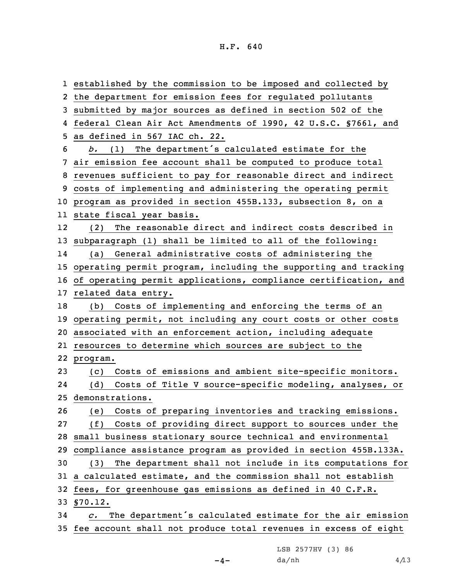established by the commission to be imposed and collected by the department for emission fees for regulated pollutants submitted by major sources as defined in section 502 of the federal Clean Air Act Amendments of 1990, 42 U.S.C. §7661, and as defined in 567 IAC ch. 22. *b.* (1) The department's calculated estimate for the air emission fee account shall be computed to produce total revenues sufficient to pay for reasonable direct and indirect costs of implementing and administering the operating permit program as provided in section 455B.133, subsection 8, on <sup>a</sup> state fiscal year basis. 12 (2) The reasonable direct and indirect costs described in subparagraph (1) shall be limited to all of the following: 14 (a) General administrative costs of administering the operating permit program, including the supporting and tracking of operating permit applications, compliance certification, and related data entry. (b) Costs of implementing and enforcing the terms of an operating permit, not including any court costs or other costs associated with an enforcement action, including adequate resources to determine which sources are subject to the 22 program. (c) Costs of emissions and ambient site-specific monitors. 24 (d) Costs of Title <sup>V</sup> source-specific modeling, analyses, or demonstrations. (e) Costs of preparing inventories and tracking emissions. (f) Costs of providing direct support to sources under the small business stationary source technical and environmental compliance assistance program as provided in section 455B.133A. (3) The department shall not include in its computations for <sup>a</sup> calculated estimate, and the commission shall not establish fees, for greenhouse gas emissions as defined in 40 C.F.R. 33 §70.12. *c.* The department's calculated estimate for the air emission fee account shall not produce total revenues in excess of eight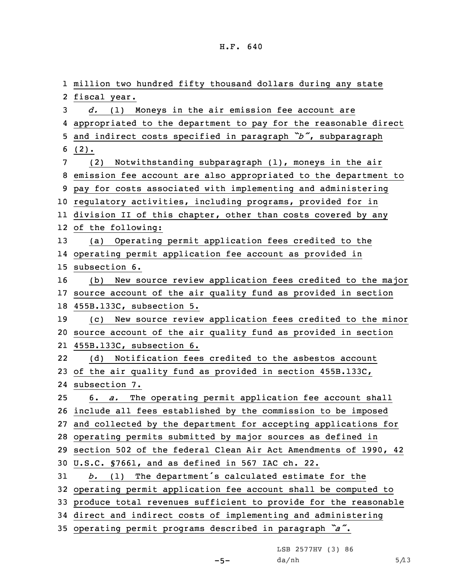million two hundred fifty thousand dollars during any state fiscal year. *d.* (1) Moneys in the air emission fee account are appropriated to the department to pay for the reasonable direct and indirect costs specified in paragraph *"b"*, subparagraph 6 (2). (2) Notwithstanding subparagraph (1), moneys in the air emission fee account are also appropriated to the department to pay for costs associated with implementing and administering regulatory activities, including programs, provided for in division II of this chapter, other than costs covered by any of the following: (a) Operating permit application fees credited to the operating permit application fee account as provided in subsection 6. (b) New source review application fees credited to the major source account of the air quality fund as provided in section 455B.133C, subsection 5. (c) New source review application fees credited to the minor source account of the air quality fund as provided in section 455B.133C, subsection 6. 22 (d) Notification fees credited to the asbestos account of the air quality fund as provided in section 455B.133C, subsection 7. 6. *a.* The operating permit application fee account shall include all fees established by the commission to be imposed and collected by the department for accepting applications for operating permits submitted by major sources as defined in section 502 of the federal Clean Air Act Amendments of 1990, 42 U.S.C. §7661, and as defined in 567 IAC ch. 22. *b.* (1) The department's calculated estimate for the operating permit application fee account shall be computed to produce total revenues sufficient to provide for the reasonable direct and indirect costs of implementing and administering operating permit programs described in paragraph *"a"*.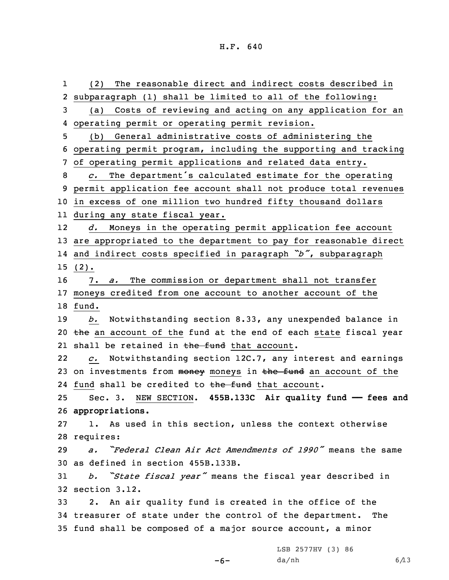1 (2) The reasonable direct and indirect costs described in subparagraph (1) shall be limited to all of the following: (a) Costs of reviewing and acting on any application for an operating permit or operating permit revision. (b) General administrative costs of administering the operating permit program, including the supporting and tracking of operating permit applications and related data entry. *c.* The department's calculated estimate for the operating permit application fee account shall not produce total revenues in excess of one million two hundred fifty thousand dollars during any state fiscal year. 12 *d.* Moneys in the operating permit application fee account are appropriated to the department to pay for reasonable direct and indirect costs specified in paragraph *"b"*, subparagraph 15 (2). 7. *a.* The commission or department shall not transfer moneys credited from one account to another account of the 18 fund. *b.* Notwithstanding section 8.33, any unexpended balance in 20 the an account of the fund at the end of each state fiscal year 21 shall be retained in <del>the fund</del> that account. 22 *c.* Notwithstanding section 12C.7, any interest and earnings 23 on investments from money moneys in the fund an account of the 24 fund shall be credited to <del>the fund</del> that account. Sec. 3. NEW SECTION. **455B.133C Air quality fund —— fees and appropriations.** 1. As used in this section, unless the context otherwise requires: *a. "Federal Clean Air Act Amendments of 1990"* means the same as defined in section 455B.133B. *b. "State fiscal year"* means the fiscal year described in section 3.12. 2. An air quality fund is created in the office of the treasurer of state under the control of the department. The fund shall be composed of <sup>a</sup> major source account, <sup>a</sup> minor LSB 2577HV (3) 86

-6-

 $da/nh$  6/13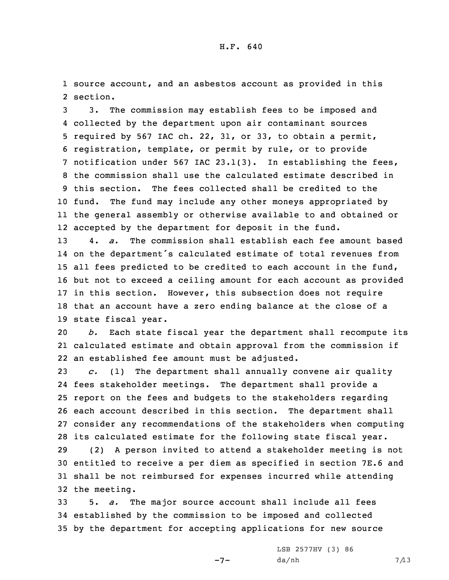1 source account, and an asbestos account as provided in this 2 section.

 3. The commission may establish fees to be imposed and collected by the department upon air contaminant sources required by 567 IAC ch. 22, 31, or 33, to obtain <sup>a</sup> permit, registration, template, or permit by rule, or to provide notification under 567 IAC 23.1(3). In establishing the fees, the commission shall use the calculated estimate described in this section. The fees collected shall be credited to the fund. The fund may include any other moneys appropriated by the general assembly or otherwise available to and obtained or accepted by the department for deposit in the fund.

 4. *a.* The commission shall establish each fee amount based on the department's calculated estimate of total revenues from all fees predicted to be credited to each account in the fund, but not to exceed <sup>a</sup> ceiling amount for each account as provided in this section. However, this subsection does not require that an account have <sup>a</sup> zero ending balance at the close of <sup>a</sup> state fiscal year.

20 *b.* Each state fiscal year the department shall recompute its 21 calculated estimate and obtain approval from the commission if 22 an established fee amount must be adjusted.

 *c.* (1) The department shall annually convene air quality fees stakeholder meetings. The department shall provide <sup>a</sup> report on the fees and budgets to the stakeholders regarding each account described in this section. The department shall consider any recommendations of the stakeholders when computing its calculated estimate for the following state fiscal year.

 (2) <sup>A</sup> person invited to attend <sup>a</sup> stakeholder meeting is not entitled to receive <sup>a</sup> per diem as specified in section 7E.6 and shall be not reimbursed for expenses incurred while attending the meeting.

33 5. *a.* The major source account shall include all fees 34 established by the commission to be imposed and collected 35 by the department for accepting applications for new source

 $-7-$ 

LSB 2577HV (3) 86  $da/nh$  7/13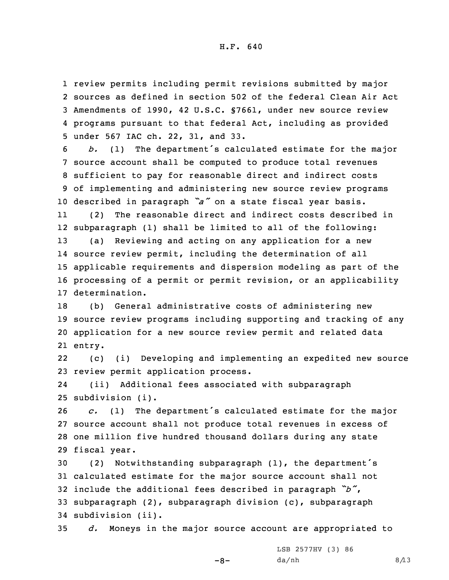review permits including permit revisions submitted by major sources as defined in section 502 of the federal Clean Air Act Amendments of 1990, 42 U.S.C. §7661, under new source review programs pursuant to that federal Act, including as provided under 567 IAC ch. 22, 31, and 33.

 *b.* (1) The department's calculated estimate for the major source account shall be computed to produce total revenues sufficient to pay for reasonable direct and indirect costs of implementing and administering new source review programs described in paragraph *"a"* on <sup>a</sup> state fiscal year basis.

11 (2) The reasonable direct and indirect costs described in subparagraph (1) shall be limited to all of the following: (a) Reviewing and acting on any application for <sup>a</sup> new source review permit, including the determination of all applicable requirements and dispersion modeling as part of the processing of <sup>a</sup> permit or permit revision, or an applicability determination.

 (b) General administrative costs of administering new source review programs including supporting and tracking of any application for <sup>a</sup> new source review permit and related data 21 entry.

22 (c) (i) Developing and implementing an expedited new source 23 review permit application process.

24 (ii) Additional fees associated with subparagraph 25 subdivision (i).

 *c.* (1) The department's calculated estimate for the major source account shall not produce total revenues in excess of one million five hundred thousand dollars during any state fiscal year.

 (2) Notwithstanding subparagraph (1), the department's calculated estimate for the major source account shall not include the additional fees described in paragraph *"b"*, subparagraph (2), subparagraph division (c), subparagraph subdivision (ii).

35 *d.* Moneys in the major source account are appropriated to

 $-8-$ 

LSB 2577HV (3) 86  $da/nh$  8/13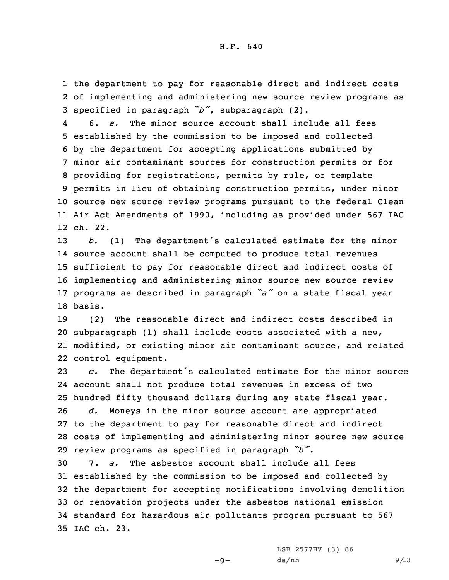1 the department to pay for reasonable direct and indirect costs 2 of implementing and administering new source review programs as <sup>3</sup> specified in paragraph *"b"*, subparagraph (2).

4 6. *a.* The minor source account shall include all fees established by the commission to be imposed and collected by the department for accepting applications submitted by minor air contaminant sources for construction permits or for providing for registrations, permits by rule, or template permits in lieu of obtaining construction permits, under minor source new source review programs pursuant to the federal Clean Air Act Amendments of 1990, including as provided under 567 IAC 12 ch. 22.

 *b.* (1) The department's calculated estimate for the minor source account shall be computed to produce total revenues sufficient to pay for reasonable direct and indirect costs of implementing and administering minor source new source review programs as described in paragraph *"a"* on <sup>a</sup> state fiscal year 18 basis.

 (2) The reasonable direct and indirect costs described in subparagraph (1) shall include costs associated with <sup>a</sup> new, modified, or existing minor air contaminant source, and related control equipment.

 *c.* The department's calculated estimate for the minor source account shall not produce total revenues in excess of two hundred fifty thousand dollars during any state fiscal year. *d.* Moneys in the minor source account are appropriated to the department to pay for reasonable direct and indirect

28 costs of implementing and administering minor source new source <sup>29</sup> review programs as specified in paragraph *"b"*.

 7. *a.* The asbestos account shall include all fees established by the commission to be imposed and collected by the department for accepting notifications involving demolition or renovation projects under the asbestos national emission standard for hazardous air pollutants program pursuant to 567 IAC ch. 23.

 $-9-$ 

LSB 2577HV (3) 86  $da/nh$  9/13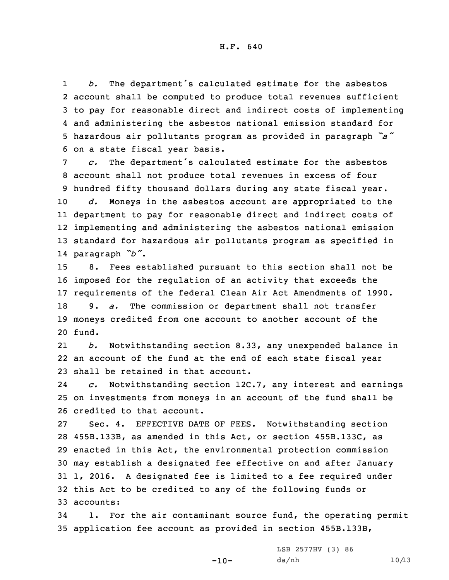1 *b.* The department's calculated estimate for the asbestos account shall be computed to produce total revenues sufficient to pay for reasonable direct and indirect costs of implementing and administering the asbestos national emission standard for hazardous air pollutants program as provided in paragraph *"a"* on <sup>a</sup> state fiscal year basis.

 *c.* The department's calculated estimate for the asbestos account shall not produce total revenues in excess of four hundred fifty thousand dollars during any state fiscal year. *d.* Moneys in the asbestos account are appropriated to the department to pay for reasonable direct and indirect costs of implementing and administering the asbestos national emission standard for hazardous air pollutants program as specified in paragraph *"b"*.

 8. Fees established pursuant to this section shall not be imposed for the regulation of an activity that exceeds the requirements of the federal Clean Air Act Amendments of 1990. 9. *a.* The commission or department shall not transfer moneys credited from one account to another account of the 20 fund.

21 *b.* Notwithstanding section 8.33, any unexpended balance in 22 an account of the fund at the end of each state fiscal year 23 shall be retained in that account.

24 *c.* Notwithstanding section 12C.7, any interest and earnings 25 on investments from moneys in an account of the fund shall be 26 credited to that account.

 Sec. 4. EFFECTIVE DATE OF FEES. Notwithstanding section 455B.133B, as amended in this Act, or section 455B.133C, as enacted in this Act, the environmental protection commission may establish <sup>a</sup> designated fee effective on and after January 1, 2016. <sup>A</sup> designated fee is limited to <sup>a</sup> fee required under this Act to be credited to any of the following funds or accounts:

34 1. For the air contaminant source fund, the operating permit 35 application fee account as provided in section 455B.133B,

 $-10-$ 

LSB 2577HV (3) 86 da/nh 10/13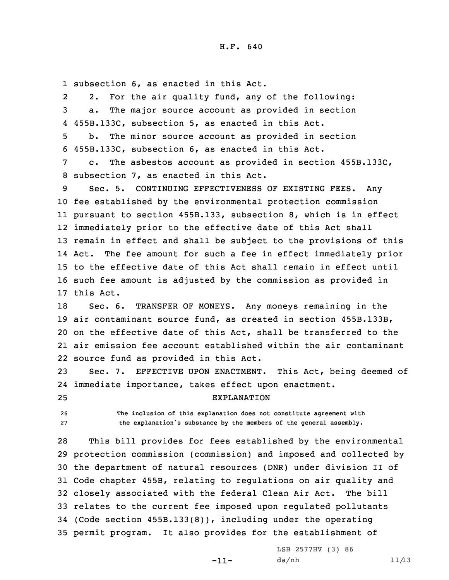1 subsection 6, as enacted in this Act.

2 2. For the air quality fund, any of the following: 3 a. The major source account as provided in section 4 455B.133C, subsection 5, as enacted in this Act.

5 b. The minor source account as provided in section 6 455B.133C, subsection 6, as enacted in this Act.

7 c. The asbestos account as provided in section 455B.133C, 8 subsection 7, as enacted in this Act.

9 Sec. 5. CONTINUING EFFECTIVENESS OF EXISTING FEES. Any fee established by the environmental protection commission pursuant to section 455B.133, subsection 8, which is in effect immediately prior to the effective date of this Act shall remain in effect and shall be subject to the provisions of this Act. The fee amount for such <sup>a</sup> fee in effect immediately prior to the effective date of this Act shall remain in effect until such fee amount is adjusted by the commission as provided in this Act.

 Sec. 6. TRANSFER OF MONEYS. Any moneys remaining in the air contaminant source fund, as created in section 455B.133B, on the effective date of this Act, shall be transferred to the air emission fee account established within the air contaminant source fund as provided in this Act.

23 Sec. 7. EFFECTIVE UPON ENACTMENT. This Act, being deemed of 24 immediate importance, takes effect upon enactment.

25 EXPLANATION

26 **The inclusion of this explanation does not constitute agreement with** <sup>27</sup> **the explanation's substance by the members of the general assembly.**

 This bill provides for fees established by the environmental protection commission (commission) and imposed and collected by the department of natural resources (DNR) under division II of Code chapter 455B, relating to regulations on air quality and closely associated with the federal Clean Air Act. The bill relates to the current fee imposed upon regulated pollutants (Code section 455B.133(8)), including under the operating permit program. It also provides for the establishment of

-11-

LSB 2577HV (3) 86 da/nh 11/13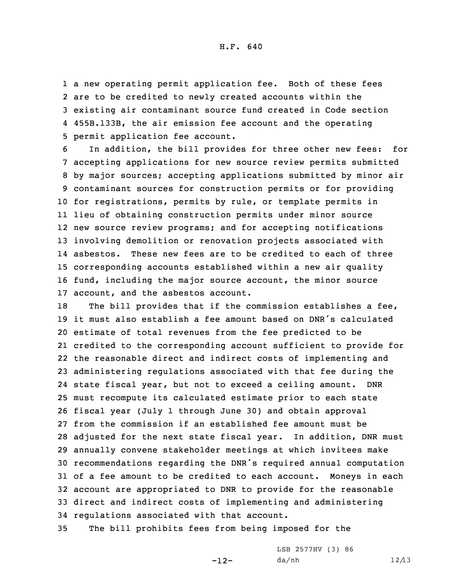<sup>a</sup> new operating permit application fee. Both of these fees are to be credited to newly created accounts within the existing air contaminant source fund created in Code section 455B.133B, the air emission fee account and the operating permit application fee account.

 In addition, the bill provides for three other new fees: for accepting applications for new source review permits submitted by major sources; accepting applications submitted by minor air contaminant sources for construction permits or for providing for registrations, permits by rule, or template permits in lieu of obtaining construction permits under minor source new source review programs; and for accepting notifications involving demolition or renovation projects associated with 14 asbestos. These new fees are to be credited to each of three corresponding accounts established within <sup>a</sup> new air quality fund, including the major source account, the minor source account, and the asbestos account.

18 The bill provides that if the commission establishes a fee, it must also establish <sup>a</sup> fee amount based on DNR's calculated estimate of total revenues from the fee predicted to be credited to the corresponding account sufficient to provide for the reasonable direct and indirect costs of implementing and administering regulations associated with that fee during the state fiscal year, but not to exceed <sup>a</sup> ceiling amount. DNR must recompute its calculated estimate prior to each state fiscal year (July 1 through June 30) and obtain approval from the commission if an established fee amount must be adjusted for the next state fiscal year. In addition, DNR must annually convene stakeholder meetings at which invitees make recommendations regarding the DNR's required annual computation of <sup>a</sup> fee amount to be credited to each account. Moneys in each account are appropriated to DNR to provide for the reasonable direct and indirect costs of implementing and administering regulations associated with that account.

35 The bill prohibits fees from being imposed for the

-12-

LSB 2577HV (3) 86 da/nh 12/13